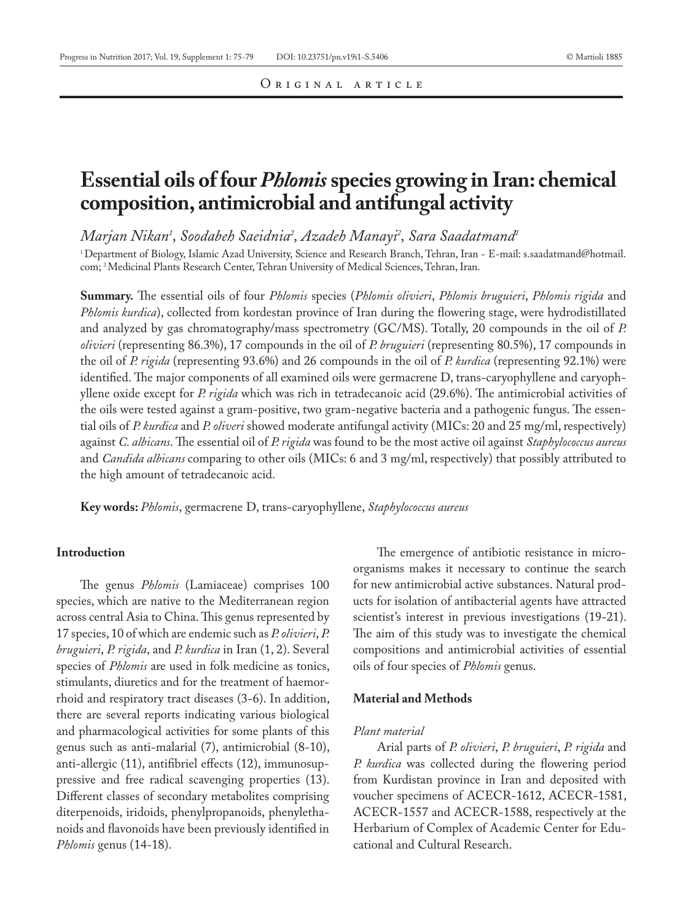# **Essential oils of four** *Phlomis* **species growing in Iran: chemical composition, antimicrobial and antifungal activity**

*Marjan Nikan1 , Soodabeh Saeidnia2 , Azadeh Manayi2 , Sara Saadatmand1*

1 Department of Biology, Islamic Azad University, Science and Research Branch, Tehran, Iran - E-mail: s.saadatmand@hotmail. com; 2 Medicinal Plants Research Center, Tehran University of Medical Sciences, Tehran, Iran.

**Summary.** The essential oils of four *Phlomis* species (*Phlomis olivieri*, *Phlomis bruguieri*, *Phlomis rigida* and *Phlomis kurdica*), collected from kordestan province of Iran during the flowering stage, were hydrodistillated and analyzed by gas chromatography/mass spectrometry (GC/MS). Totally, 20 compounds in the oil of *P. olivieri* (representing 86.3%), 17 compounds in the oil of *P. bruguieri* (representing 80.5%), 17 compounds in the oil of *P. rigida* (representing 93.6%) and 26 compounds in the oil of *P. kurdica* (representing 92.1%) were identified. The major components of all examined oils were germacrene D, trans-caryophyllene and caryophyllene oxide except for *P. rigida* which was rich in tetradecanoic acid (29.6%). The antimicrobial activities of the oils were tested against a gram-positive, two gram-negative bacteria and a pathogenic fungus. The essential oils of *P. kurdica* and *P. oliveri* showed moderate antifungal activity (MICs: 20 and 25 mg/ml, respectively) against *C. albicans*. The essential oil of *P. rigida* was found to be the most active oil against *Staphylococcus aureus* and *Candida albicans* comparing to other oils (MICs: 6 and 3 mg/ml, respectively) that possibly attributed to the high amount of tetradecanoic acid.

**Key words:** *Phlomis*, germacrene D, trans-caryophyllene, *Staphylococcus aureus*

#### **Introduction**

The genus *Phlomis* (Lamiaceae) comprises 100 species, which are native to the Mediterranean region across central Asia to China. This genus represented by 17 species, 10 of which are endemic such as *P. olivieri*, *P. bruguieri*, *P. rigida*, and *P. kurdica* in Iran (1, 2). Several species of *Phlomis* are used in folk medicine as tonics, stimulants, diuretics and for the treatment of haemorrhoid and respiratory tract diseases (3-6). In addition, there are several reports indicating various biological and pharmacological activities for some plants of this genus such as anti-malarial (7), antimicrobial (8-10), anti-allergic (11), antifibriel effects (12), immunosuppressive and free radical scavenging properties (13). Different classes of secondary metabolites comprising diterpenoids, iridoids, phenylpropanoids, phenylethanoids and flavonoids have been previously identified in *Phlomis* genus (14-18).

The emergence of antibiotic resistance in microorganisms makes it necessary to continue the search for new antimicrobial active substances. Natural products for isolation of antibacterial agents have attracted scientist's interest in previous investigations (19-21). The aim of this study was to investigate the chemical compositions and antimicrobial activities of essential oils of four species of *Phlomis* genus.

#### **Material and Methods**

#### *Plant material*

Arial parts of *P. olivieri*, *P. bruguieri*, *P. rigida* and *P. kurdica* was collected during the flowering period from Kurdistan province in Iran and deposited with voucher specimens of ACECR-1612, ACECR-1581, ACECR-1557 and ACECR-1588, respectively at the Herbarium of Complex of Academic Center for Educational and Cultural Research.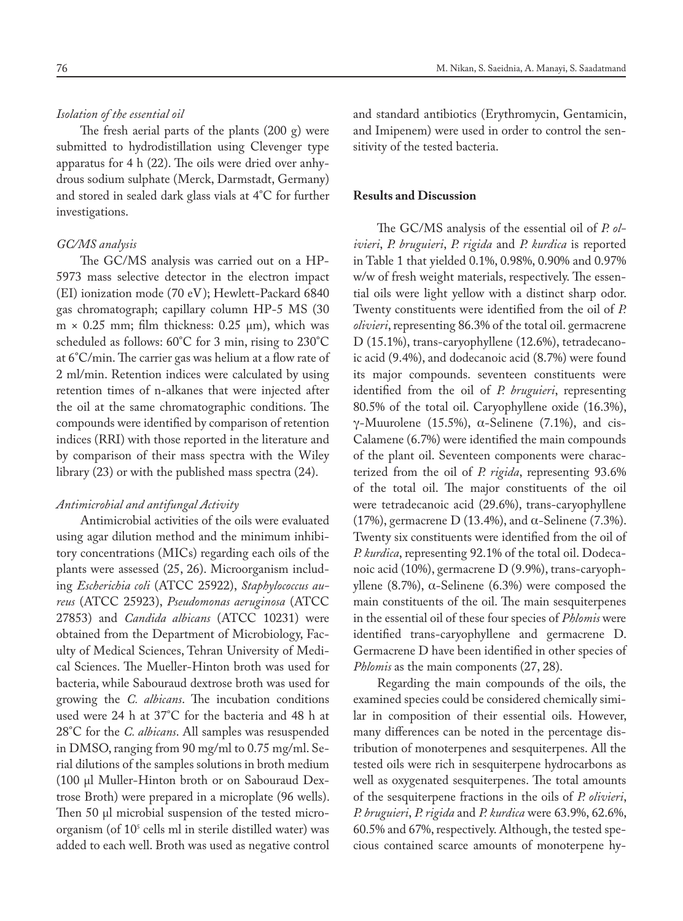## *Isolation of the essential oil*

The fresh aerial parts of the plants  $(200 \text{ g})$  were submitted to hydrodistillation using Clevenger type apparatus for 4 h (22). The oils were dried over anhydrous sodium sulphate (Merck, Darmstadt, Germany) and stored in sealed dark glass vials at 4°C for further investigations.

#### *GC/MS analysis*

The GC/MS analysis was carried out on a HP-5973 mass selective detector in the electron impact (EI) ionization mode (70 eV); Hewlett-Packard 6840 gas chromatograph; capillary column HP-5 MS (30  $m \times 0.25$  mm; film thickness: 0.25  $\mu$ m), which was scheduled as follows: 60°C for 3 min, rising to 230°C at 6°C/min. The carrier gas was helium at a flow rate of 2 ml/min. Retention indices were calculated by using retention times of n-alkanes that were injected after the oil at the same chromatographic conditions. The compounds were identified by comparison of retention indices (RRI) with those reported in the literature and by comparison of their mass spectra with the Wiley library (23) or with the published mass spectra (24).

### *Antimicrobial and antifungal Activity*

Antimicrobial activities of the oils were evaluated using agar dilution method and the minimum inhibitory concentrations (MICs) regarding each oils of the plants were assessed (25, 26). Microorganism including *Escherichia coli* (ATCC 25922), *Staphylococcus aureus* (ATCC 25923), *Pseudomonas aeruginosa* (ATCC 27853) and *Candida albicans* (ATCC 10231) were obtained from the Department of Microbiology, Faculty of Medical Sciences, Tehran University of Medical Sciences. The Mueller-Hinton broth was used for bacteria, while Sabouraud dextrose broth was used for growing the *C. albicans*. The incubation conditions used were 24 h at 37°C for the bacteria and 48 h at 28°C for the *C. albicans*. All samples was resuspended in DMSO, ranging from 90 mg/ml to 0.75 mg/ml. Serial dilutions of the samples solutions in broth medium (100 μl Muller-Hinton broth or on Sabouraud Dextrose Broth) were prepared in a microplate (96 wells). Then 50 μl microbial suspension of the tested microorganism (of 10<sup>5</sup> cells ml in sterile distilled water) was added to each well. Broth was used as negative control

and standard antibiotics (Erythromycin, Gentamicin, and Imipenem) were used in order to control the sensitivity of the tested bacteria.

#### **Results and Discussion**

The GC/MS analysis of the essential oil of *P. olivieri*, *P. bruguieri*, *P. rigida* and *P. kurdica* is reported in Table 1 that yielded 0.1%, 0.98%, 0.90% and 0.97% w/w of fresh weight materials, respectively. The essential oils were light yellow with a distinct sharp odor. Twenty constituents were identified from the oil of *P. olivieri*, representing 86.3% of the total oil. germacrene D (15.1%), trans-caryophyllene (12.6%), tetradecanoic acid (9.4%), and dodecanoic acid (8.7%) were found its major compounds. seventeen constituents were identified from the oil of *P. bruguieri*, representing 80.5% of the total oil. Caryophyllene oxide (16.3%), γ-Muurolene (15.5%),  $\alpha$ -Selinene (7.1%), and cis-Calamene (6.7%) were identified the main compounds of the plant oil. Seventeen components were characterized from the oil of *P. rigida*, representing 93.6% of the total oil. The major constituents of the oil were tetradecanoic acid (29.6%), trans-caryophyllene (17%), germacrene D (13.4%), and  $\alpha$ -Selinene (7.3%). Twenty six constituents were identified from the oil of *P. kurdica*, representing 92.1% of the total oil. Dodecanoic acid (10%), germacrene D (9.9%), trans-caryophyllene (8.7%), α-Selinene (6.3%) were composed the main constituents of the oil. The main sesquiterpenes in the essential oil of these four species of *Phlomis* were identified trans-caryophyllene and germacrene D. Germacrene D have been identified in other species of *Phlomis* as the main components (27, 28).

Regarding the main compounds of the oils, the examined species could be considered chemically similar in composition of their essential oils. However, many differences can be noted in the percentage distribution of monoterpenes and sesquiterpenes. All the tested oils were rich in sesquiterpene hydrocarbons as well as oxygenated sesquiterpenes. The total amounts of the sesquiterpene fractions in the oils of *P. olivieri*, *P. bruguieri*, *P. rigida* and *P. kurdica* were 63.9%, 62.6%, 60.5% and 67%, respectively. Although, the tested specious contained scarce amounts of monoterpene hy-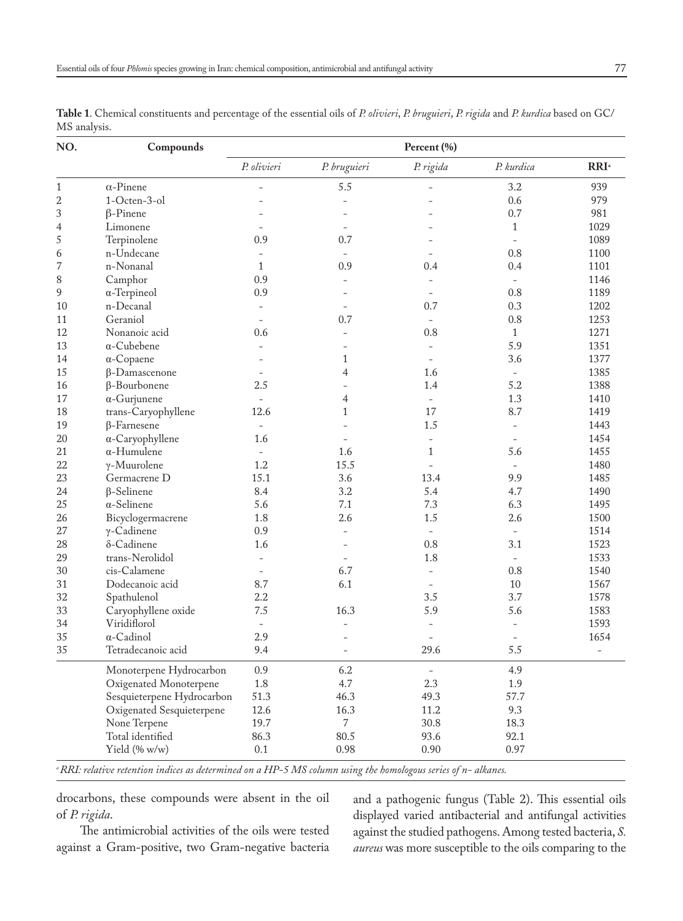| NO.            | Compounds                  | Percent (%)              |                          |                          |                          |                     |  |
|----------------|----------------------------|--------------------------|--------------------------|--------------------------|--------------------------|---------------------|--|
|                |                            | P. olivieri              | P. bruguieri             | P. rigida                | P. kurdica               | RRI <sup>a</sup>    |  |
| 1              | $\alpha$ -Pinene           |                          | 5.5                      |                          | 3.2                      | 939                 |  |
| $\overline{c}$ | 1-Octen-3-ol               |                          |                          |                          | 0.6                      | 979                 |  |
| 3              | $\beta$ -Pinene            |                          |                          |                          | 0.7                      | 981                 |  |
| $\overline{4}$ | Limonene                   |                          | $\overline{a}$           |                          | $\mathbf{1}$             | 1029                |  |
| 5              | Terpinolene                | 0.9                      | 0.7                      |                          | $\equiv$                 | 1089                |  |
| 6              | n-Undecane                 |                          |                          |                          | 0.8                      | 1100                |  |
| 7              | n-Nonanal                  | $\mathbf{1}$             | 0.9                      | 0.4                      | 0.4                      | 1101                |  |
| 8              | Camphor                    | 0.9                      |                          | $\overline{a}$           |                          | 1146                |  |
| 9              | $\alpha$ -Terpineol        | 0.9                      |                          | $\overline{a}$           | 0.8                      | 1189                |  |
| 10             | n-Decanal                  | $\equiv$                 | $\overline{a}$           | 0.7                      | 0.3                      | 1202                |  |
| 11             | Geraniol                   |                          | 0.7                      | $\equiv$                 | 0.8                      | 1253                |  |
| 12             | Nonanoic acid              | 0.6                      | $\overline{\phantom{0}}$ | 0.8                      | $\mathbf{1}$             | 1271                |  |
| 13             | $\alpha$ -Cubebene         |                          |                          | $\overline{\phantom{a}}$ | 5.9                      | 1351                |  |
| 14             | $\alpha$ -Copaene          |                          | 1                        | $\overline{a}$           | 3.6                      | 1377                |  |
| 15             | $\beta$ -Damascenone       |                          | $\overline{4}$           | 1.6                      | $\overline{\phantom{a}}$ | 1385                |  |
| 16             | $\beta$ -Bourbonene        | 2.5                      |                          | 1.4                      | 5.2                      | 1388                |  |
| 17             | $\alpha$ -Gurjunene        | $\equiv$                 | 4                        | $\bar{\phantom{a}}$      | 1.3                      | 1410                |  |
| 18             | trans-Caryophyllene        | 12.6                     | $\mathbf{1}$             | 17                       | 8.7                      | 1419                |  |
| 19             | $\beta$ -Farnesene         | $\overline{\phantom{a}}$ |                          | 1.5                      | $\overline{\phantom{a}}$ | 1443                |  |
| 20             | $\alpha$ -Caryophyllene    | 1.6                      | $\overline{a}$           | $\overline{a}$           | $\overline{\phantom{0}}$ | 1454                |  |
| 21             | $\alpha$ -Humulene         |                          | 1.6                      | $\mathbf{1}$             | 5.6                      | 1455                |  |
| 22             | $\gamma$ -Muurolene        | 1.2                      | 15.5                     |                          | $\overline{\phantom{m}}$ | 1480                |  |
| 23             | Germacrene D               | 15.1                     | 3.6                      | 13.4                     | 9.9                      | 1485                |  |
| 24             | <b>B-Selinene</b>          | 8.4                      | 3.2                      | 5.4                      | 4.7                      | 1490                |  |
| 25             | $\alpha$ -Selinene         | 5.6                      | 7.1                      | 7.3                      | 6.3                      | 1495                |  |
| 26             | Bicyclogermacrene          | 1.8                      | 2.6                      | 1.5                      | 2.6                      | 1500                |  |
| 27             | $\gamma$ -Cadinene         | 0.9                      | $\overline{a}$           | $\bar{\phantom{a}}$      | $\overline{\phantom{m}}$ | 1514                |  |
| 28             | δ-Cadinene                 | 1.6                      |                          | 0.8                      | 3.1                      | 1523                |  |
| 29             | trans-Nerolidol            | $\overline{\phantom{a}}$ |                          | 1.8                      | $\overline{\phantom{a}}$ | 1533                |  |
| 30             | cis-Calamene               | $\overline{a}$           | 6.7                      | $\overline{a}$           | 0.8                      | 1540                |  |
| 31             | Dodecanoic acid            | 8.7                      | 6.1                      | $\overline{a}$           | 10                       | 1567                |  |
| 32             | Spathulenol                | $2.2\,$                  |                          | 3.5                      | 3.7                      | 1578                |  |
| 33             | Caryophyllene oxide        | 7.5                      | 16.3                     | 5.9                      | 5.6                      | 1583                |  |
| 34             | Viridiflorol               | $\overline{\phantom{a}}$ | $\overline{\phantom{a}}$ | $\overline{\phantom{a}}$ | $\overline{\phantom{a}}$ | 1593                |  |
| 35             | $\alpha$ -Cadinol          | 2.9                      |                          |                          |                          | 1654                |  |
| 35             | Tetradecanoic acid         | 9.4                      | $\overline{a}$           | 29.6                     | 5.5                      | $\bar{\phantom{a}}$ |  |
|                | Monoterpene Hydrocarbon    | 0.9                      | 6.2                      | $\overline{\phantom{0}}$ | 4.9                      |                     |  |
|                | Oxigenated Monoterpene     | 1.8                      | 4.7                      | 2.3                      | 1.9                      |                     |  |
|                | Sesquieterpene Hydrocarbon | 51.3                     | 46.3                     | 49.3                     | 57.7                     |                     |  |
|                | Oxigenated Sesquieterpene  | 12.6                     | 16.3                     | 11.2                     | 9.3                      |                     |  |
|                | None Terpene               | 19.7                     | 7                        | 30.8                     | 18.3                     |                     |  |
|                | Total identified           | 86.3                     | 80.5                     | 93.6                     | 92.1                     |                     |  |
|                | Yield (% w/w)              | 0.1                      | 0.98                     | 0.90                     | 0.97                     |                     |  |

**Table 1**. Chemical constituents and percentage of the essential oils of *P. olivieri*, *P. bruguieri*, *P. rigida* and *P. kurdica* based on GC/ MS analysis.

*a RRI: relative retention indices as determined on a HP-5 MS column using the homologous series of n- alkanes.*

drocarbons, these compounds were absent in the oil of *P. rigida*.

The antimicrobial activities of the oils were tested against a Gram-positive, two Gram-negative bacteria and a pathogenic fungus (Table 2). This essential oils displayed varied antibacterial and antifungal activities against the studied pathogens. Among tested bacteria, *S. aureus* was more susceptible to the oils comparing to the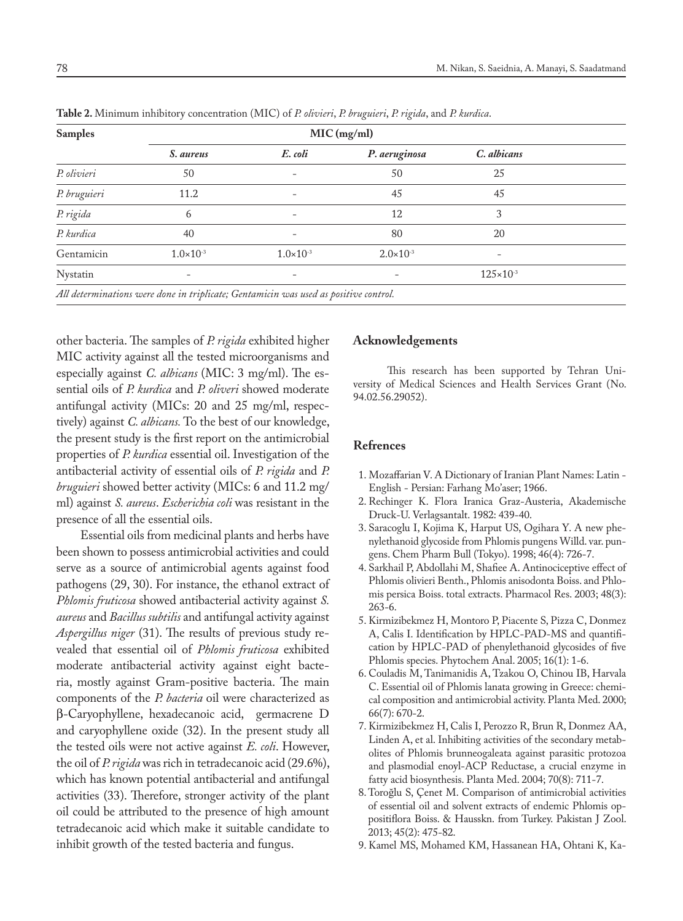| <b>Samples</b> |                                                                                      |                          |                      |                      |  |
|----------------|--------------------------------------------------------------------------------------|--------------------------|----------------------|----------------------|--|
|                | S. aureus                                                                            | E. coli                  | P. aeruginosa        | C. albicans          |  |
| P. olivieri    | 50                                                                                   | ٠                        | 50                   | 25                   |  |
| P. bruguieri   | 11.2                                                                                 |                          | 45                   | 45                   |  |
| P. rigida      | 6                                                                                    |                          | 12                   | 3                    |  |
| P. kurdica     | 40                                                                                   | $\overline{\phantom{0}}$ | 80                   | 20                   |  |
| Gentamicin     | $1.0 \times 10^{-3}$                                                                 | $1.0 \times 10^{-3}$     | $2.0 \times 10^{-3}$ |                      |  |
| Nystatin       | $\overline{\phantom{a}}$                                                             |                          |                      | $125 \times 10^{-3}$ |  |
|                | All determinations were done in triplicate; Gentamicin was used as positive control. |                          |                      |                      |  |

**Table 2.** Minimum inhibitory concentration (MIC) of *P. olivieri*, *P. bruguieri*, *P. rigida*, and *P. kurdica*.

other bacteria. The samples of *P. rigida* exhibited higher MIC activity against all the tested microorganisms and especially against *C. albicans* (MIC: 3 mg/ml). The essential oils of *P. kurdica* and *P. oliveri* showed moderate antifungal activity (MICs: 20 and 25 mg/ml, respectively) against *C. albicans.* To the best of our knowledge, the present study is the first report on the antimicrobial properties of *P. kurdica* essential oil. Investigation of the antibacterial activity of essential oils of *P. rigida* and *P. bruguieri* showed better activity (MICs: 6 and 11.2 mg/ ml) against *S. aureus*. *Escherichia coli* was resistant in the presence of all the essential oils.

Essential oils from medicinal plants and herbs have been shown to possess antimicrobial activities and could serve as a source of antimicrobial agents against food pathogens (29, 30). For instance, the ethanol extract of *Phlomis fruticosa* showed antibacterial activity against *S. aureus* and *Bacillus subtilis* and antifungal activity against *Aspergillus niger* (31). The results of previous study revealed that essential oil of *Phlomis fruticosa* exhibited moderate antibacterial activity against eight bacteria, mostly against Gram-positive bacteria. The main components of the *P. bacteria* oil were characterized as β-Caryophyllene, hexadecanoic acid, germacrene D and caryophyllene oxide (32). In the present study all the tested oils were not active against *E. coli*. However, the oil of *P. rigida* was rich in tetradecanoic acid (29.6%), which has known potential antibacterial and antifungal activities (33). Therefore, stronger activity of the plant oil could be attributed to the presence of high amount tetradecanoic acid which make it suitable candidate to inhibit growth of the tested bacteria and fungus.

#### **Acknowledgements**

This research has been supported by Tehran University of Medical Sciences and Health Services Grant (No. 94.02.56.29052).

#### **Refrences**

- 1. Mozaffarian V. A Dictionary of Iranian Plant Names: Latin English - Persian: Farhang Mo'aser; 1966.
- 2. Rechinger K. Flora Iranica Graz-Austeria, Akademische Druck-U. Verlagsantalt. 1982: 439-40.
- 3. Saracoglu I, Kojima K, Harput US, Ogihara Y. A new phenylethanoid glycoside from Phlomis pungens Willd. var. pungens. Chem Pharm Bull (Tokyo). 1998; 46(4): 726-7.
- 4. Sarkhail P, Abdollahi M, Shafiee A. Antinociceptive effect of Phlomis olivieri Benth., Phlomis anisodonta Boiss. and Phlomis persica Boiss. total extracts. Pharmacol Res. 2003; 48(3): 263-6.
- 5. Kirmizibekmez H, Montoro P, Piacente S, Pizza C, Donmez A, Calis I. Identification by HPLC-PAD-MS and quantification by HPLC-PAD of phenylethanoid glycosides of five Phlomis species. Phytochem Anal. 2005; 16(1): 1-6.
- 6. Couladis M, Tanimanidis A, Tzakou O, Chinou IB, Harvala C. Essential oil of Phlomis lanata growing in Greece: chemical composition and antimicrobial activity. Planta Med. 2000; 66(7): 670-2.
- 7. Kirmizibekmez H, Calis I, Perozzo R, Brun R, Donmez AA, Linden A, et al. Inhibiting activities of the secondary metabolites of Phlomis brunneogaleata against parasitic protozoa and plasmodial enoyl-ACP Reductase, a crucial enzyme in fatty acid biosynthesis. Planta Med. 2004; 70(8): 711-7.
- 8. Toroğlu S, Çenet M. Comparison of antimicrobial activities of essential oil and solvent extracts of endemic Phlomis oppositiflora Boiss. & Hausskn. from Turkey. Pakistan J Zool. 2013; 45(2): 475-82.
- 9. Kamel MS, Mohamed KM, Hassanean HA, Ohtani K, Ka-